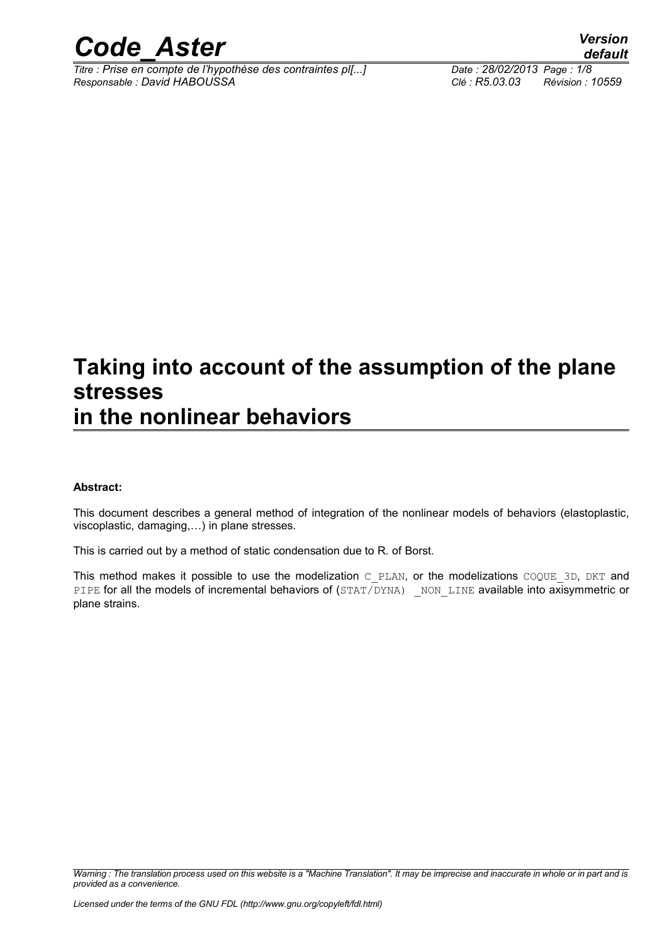

*Titre : Prise en compte de l'hypothèse des contraintes pl[...] Date : 28/02/2013 Page : 1/8 Responsable : David HABOUSSA Clé : R5.03.03 Révision : 10559*

### **Taking into account of the assumption of the plane stresses in the nonlinear behaviors**

#### **Abstract:**

This document describes a general method of integration of the nonlinear models of behaviors (elastoplastic, viscoplastic, damaging,…) in plane stresses.

This is carried out by a method of static condensation due to R. of Borst.

This method makes it possible to use the modelization C\_PLAN, or the modelizations COQUE\_3D, DKT and PIPE for all the models of incremental behaviors of (STAT/DYNA) NON LINE available into axisymmetric or plane strains.

*Warning : The translation process used on this website is a "Machine Translation". It may be imprecise and inaccurate in whole or in part and is provided as a convenience.*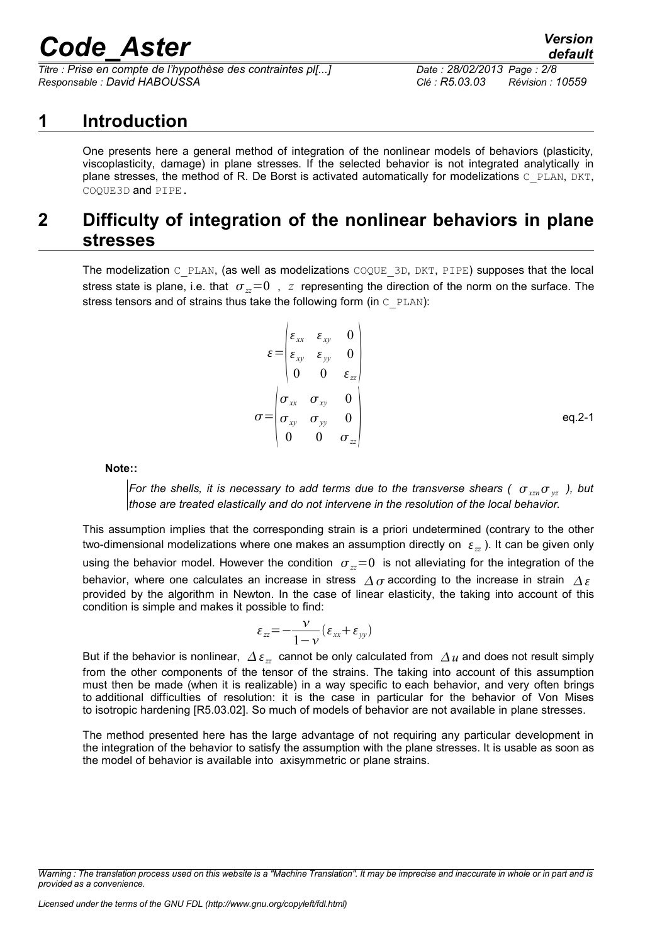*Titre : Prise en compte de l'hypothèse des contraintes pl[...] Date : 28/02/2013 Page : 2/8 Responsable : David HABOUSSA Clé : R5.03.03 Révision : 10559*

### **1 Introduction**

One presents here a general method of integration of the nonlinear models of behaviors (plasticity, viscoplasticity, damage) in plane stresses. If the selected behavior is not integrated analytically in plane stresses, the method of R. De Borst is activated automatically for modelizations C\_PLAN, DKT, COQUE3D and PIPE.

### **2 Difficulty of integration of the nonlinear behaviors in plane stresses**

The modelization  $C$  PLAN, (as well as modelizations  $COQUE$  3D, DKT, PIPE) supposes that the local stress state is plane, i.e. that  $\sigma_z=0$ ,  $z$  representing the direction of the norm on the surface. The stress tensors and of strains thus take the following form (in  $\text{C-PLAN}$ ):

$$
\varepsilon = \begin{pmatrix}\n\varepsilon_{xx} & \varepsilon_{xy} & 0 \\
\varepsilon_{xy} & \varepsilon_{yy} & 0 \\
0 & 0 & \varepsilon_{zz}\n\end{pmatrix}
$$
\n
$$
\sigma = \begin{pmatrix}\n\sigma_{xx} & \sigma_{xy} & 0 \\
\sigma_{xy} & \sigma_{yy} & 0 \\
0 & 0 & \sigma_{zz}\n\end{pmatrix}
$$

**Note::** 

*For the shells, it is necessary to add terms due to the transverse shears (* $\sigma_{xx}$  $\sigma_{yz}$ *), but those are treated elastically and do not intervene in the resolution of the local behavior.*

This assumption implies that the corresponding strain is a priori undetermined (contrary to the other two-dimensional modelizations where one makes an assumption directly on  $\varepsilon_{zz}$ ). It can be given only using the behavior model. However the condition  $\sigma_z=0$  is not alleviating for the integration of the behavior, where one calculates an increase in stress  $\Delta\sigma$  according to the increase in strain  $\Delta\varepsilon$ provided by the algorithm in Newton. In the case of linear elasticity, the taking into account of this condition is simple and makes it possible to find:

$$
\varepsilon_{zz} = -\frac{\nu}{1-\nu} (\varepsilon_{xx} + \varepsilon_{yy})
$$

But if the behavior is nonlinear,  $\Delta \varepsilon_z$  cannot be only calculated from  $\Delta u$  and does not result simply from the other components of the tensor of the strains. The taking into account of this assumption must then be made (when it is realizable) in a way specific to each behavior, and very often brings to additional difficulties of resolution: it is the case in particular for the behavior of Von Mises to isotropic hardening [R5.03.02]. So much of models of behavior are not available in plane stresses.

The method presented here has the large advantage of not requiring any particular development in the integration of the behavior to satisfy the assumption with the plane stresses. It is usable as soon as the model of behavior is available into axisymmetric or plane strains.

*Warning : The translation process used on this website is a "Machine Translation". It may be imprecise and inaccurate in whole or in part and is provided as a convenience.*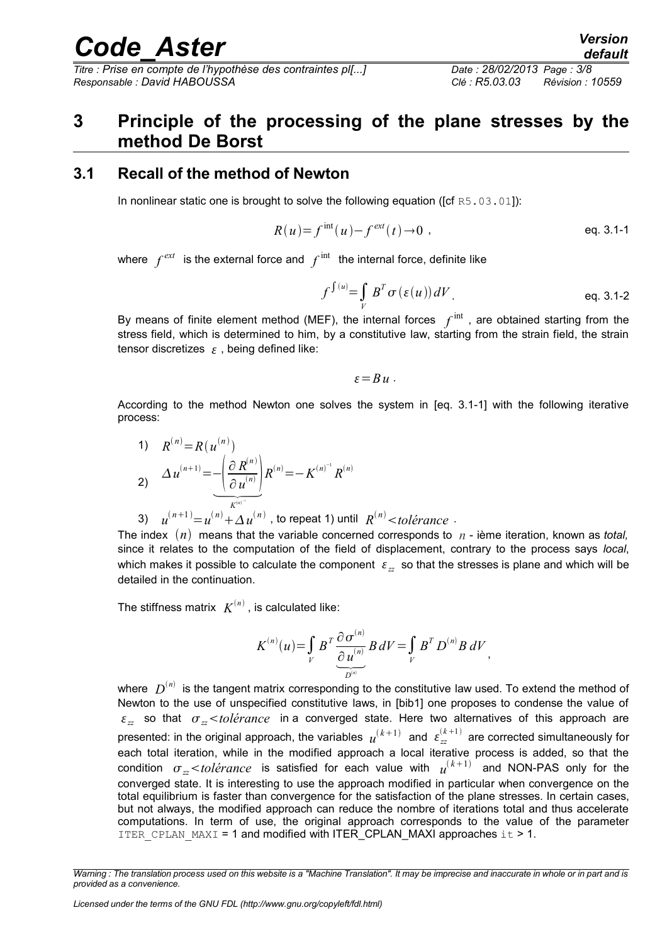*Titre : Prise en compte de l'hypothèse des contraintes pl[...] Date : 28/02/2013 Page : 3/8 Responsable : David HABOUSSA Clé : R5.03.03 Révision : 10559*

## *default*

### **3 Principle of the processing of the plane stresses by the method De Borst**

#### **3.1 Recall of the method of Newton**

In nonlinear static one is brought to solve the following equation ([cf R5.03.01]):

$$
R(u) = f^{\text{int}}(u) - f^{\text{ext}}(t) \to 0 \tag{eq. 3.1-1}
$$

where  $\int^{ext}$  is the external force and  $\int^{\mathrm{int}}$  the internal force, definite like

$$
f^{\int (u)} = \int\limits_V B^T \sigma(\varepsilon(u)) dV
$$
 eq. 3.1-2

By means of finite element method (MEF), the internal forces  $f^{\text{int}}$  , are obtained starting from the stress field, which is determined to him, by a constitutive law, starting from the strain field, the strain tensor discretizes  $\epsilon$ , being defined like:

$$
\varepsilon = B u .
$$

According to the method Newton one solves the system in [eq. 3.1-1] with the following iterative process:

1) 
$$
R^{(n)} = R(u^{(n)})
$$
  
\n2)  $\Delta u^{(n+1)} = -\left(\frac{\partial R^{(n)}}{\partial u^{(n)}}\right) R^{(n)} = -K^{(n)^{-1}} R^{(n)}$   
\n3)  $\left(\frac{n+1}{R^{(n)^{-1}}}\right) R^{(n)} = -K^{(n)^{-1}} R^{(n)}$ 

3)  $u^{(n+1)} = u^{(n)} + \Delta u^{(n)}$  , to repeat 1) until  $R^{(n)}$  < to lérance  $\Delta u$ 

The index  $(n)$  means that the variable concerned corresponds to  $n$  - ième iteration, known as *total*, since it relates to the computation of the field of displacement, contrary to the process says *local*, which makes it possible to calculate the component  $\varepsilon$ <sub>z</sub> so that the stresses is plane and which will be detailed in the continuation.

The stiffness matrix  $\ K^{(n)}$  , is calculated like:

$$
K^{(n)}(u) = \int\limits_V B^T \frac{\partial \sigma^{(n)}}{\partial u^{(n)}} B dV = \int\limits_V B^T D^{(n)} B dV,
$$

where  $\;D^{(n)}\;$  is the tangent matrix corresponding to the constitutive law used. To extend the method of Newton to the use of unspecified constitutive laws, in [bib1] one proposes to condense the value of  $\epsilon_{\pi}$  so that  $\sigma_{\pi}$  < *tolérance* in a converged state. Here two alternatives of this approach are presented: in the original approach, the variables  $u^{(k+1)}$  and  $\varepsilon_{zz}^{(k+1)}$  are corrected simultaneously for each total iteration, while in the modified approach a local iterative process is added, so that the condition  $\sigma_{zz}$ <*tolérance* is satisfied for each value with  $u^{(k+1)}$  and NON-PAS only for the converged state. It is interesting to use the approach modified in particular when convergence on the total equilibrium is faster than convergence for the satisfaction of the plane stresses. In certain cases, but not always, the modified approach can reduce the nombre of iterations total and thus accelerate computations. In term of use, the original approach corresponds to the value of the parameter ITER CPLAN MAXI = 1 and modified with ITER CPLAN MAXI approaches  $it > 1$ .

*Warning : The translation process used on this website is a "Machine Translation". It may be imprecise and inaccurate in whole or in part and is provided as a convenience.*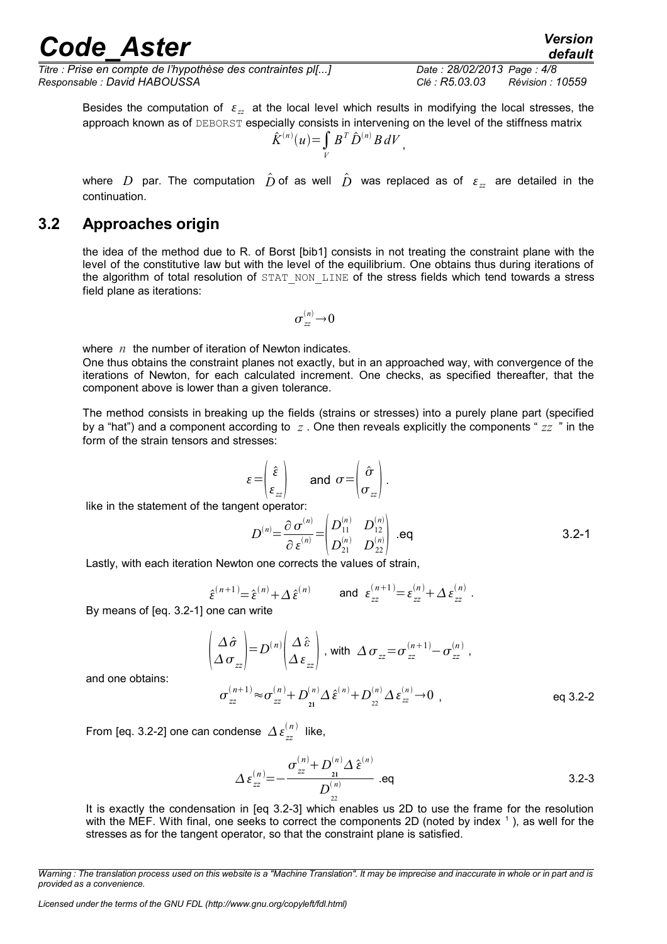*Titre : Prise en compte de l'hypothèse des contraintes pl[...] Date : 28/02/2013 Page : 4/8 Responsable : David HABOUSSA Clé : R5.03.03 Révision : 10559*

*default*

Besides the computation of  $\varepsilon_{zz}$  at the local level which results in modifying the local stresses, the approach known as of DEBORST especially consists in intervening on the level of the stiffness matrix

$$
\hat{K}^{(n)}(u) = \int\limits_V B^T \hat{D}^{(n)} B dV,
$$

where D par. The computation  $\hat{D}$  of as well  $\hat{D}$  was replaced as of  $\varepsilon_{zz}$  are detailed in the continuation.

#### **3.2 Approaches origin**

the idea of the method due to R. of Borst [bib1] consists in not treating the constraint plane with the level of the constitutive law but with the level of the equilibrium. One obtains thus during iterations of the algorithm of total resolution of STAT NON LINE of the stress fields which tend towards a stress field plane as iterations:

$$
\sigma_{zz}^{(n)} \!\to\! 0
$$

where *n* the number of iteration of Newton indicates.

One thus obtains the constraint planes not exactly, but in an approached way, with convergence of the iterations of Newton, for each calculated increment. One checks, as specified thereafter, that the component above is lower than a given tolerance.

The method consists in breaking up the fields (strains or stresses) into a purely plane part (specified by a "hat") and a component according to *z* . One then reveals explicitly the components " *zz* " in the form of the strain tensors and stresses:

$$
\varepsilon = \begin{pmatrix} \hat{\varepsilon} \\ \varepsilon_{zz} \end{pmatrix} \quad \text{and} \quad \sigma = \begin{pmatrix} \hat{\sigma} \\ \sigma_{zz} \end{pmatrix}.
$$

like in the statement of the tangent operator:

$$
D^{(n)} = \frac{\partial \sigma^{(n)}}{\partial \epsilon^{(n)}} = \begin{pmatrix} D_{11}^{(n)} & D_{12}^{(n)} \\ D_{21}^{(n)} & D_{22}^{(n)} \end{pmatrix} .\text{eq}
$$

Lastly, with each iteration Newton one corrects the values of strain,

$$
\hat{\varepsilon}^{(n+1)} = \hat{\varepsilon}^{(n)} + \Delta \, \hat{\varepsilon}^{(n)} \qquad \text{and} \ \varepsilon_{zz}^{(n+1)} = \varepsilon_{zz}^{(n)} + \Delta \, \varepsilon_{zz}^{(n)} \ .
$$

By means of [eq. 3.2-1] one can write

$$
\begin{pmatrix}\n\Delta \hat{\sigma} \\
\Delta \sigma_{zz}\n\end{pmatrix} = D^{(n)} \begin{pmatrix}\n\Delta \hat{\varepsilon} \\
\Delta \varepsilon_{zz}\n\end{pmatrix}, \text{ with } \Delta \sigma_{zz} = \sigma_{zz}^{(n+1)} - \sigma_{zz}^{(n)},
$$

and one obtains:

$$
\sigma_{zz}^{(n+1)} \approx \sigma_{zz}^{(n)} + D_{21}^{(n)} \Delta \hat{\epsilon}^{(n)} + D_{22}^{(n)} \Delta \epsilon_{zz}^{(n)} \to 0 \quad , \tag{eq 3.2-2}
$$

From [eq. 3.2-2] one can condense  $\Delta \varepsilon_{zz}^{(n)}$  like,

$$
\Delta \, \varepsilon_{zz}^{(n)} = -\frac{\sigma_{zz}^{(n)} + D_{21}^{(n)} \Delta \, \hat{\varepsilon}^{(n)}}{D_{22}^{(n)}} \text{ .eq} \tag{3.2-3}
$$

It is exactly the condensation in [eq 3.2-3] which enables us 2D to use the frame for the resolution with the MEF. With final, one seeks to correct the components 2D (noted by index  $^1$ ), as well for the stresses as for the tangent operator, so that the constraint plane is satisfied.

*Warning : The translation process used on this website is a "Machine Translation". It may be imprecise and inaccurate in whole or in part and is provided as a convenience.*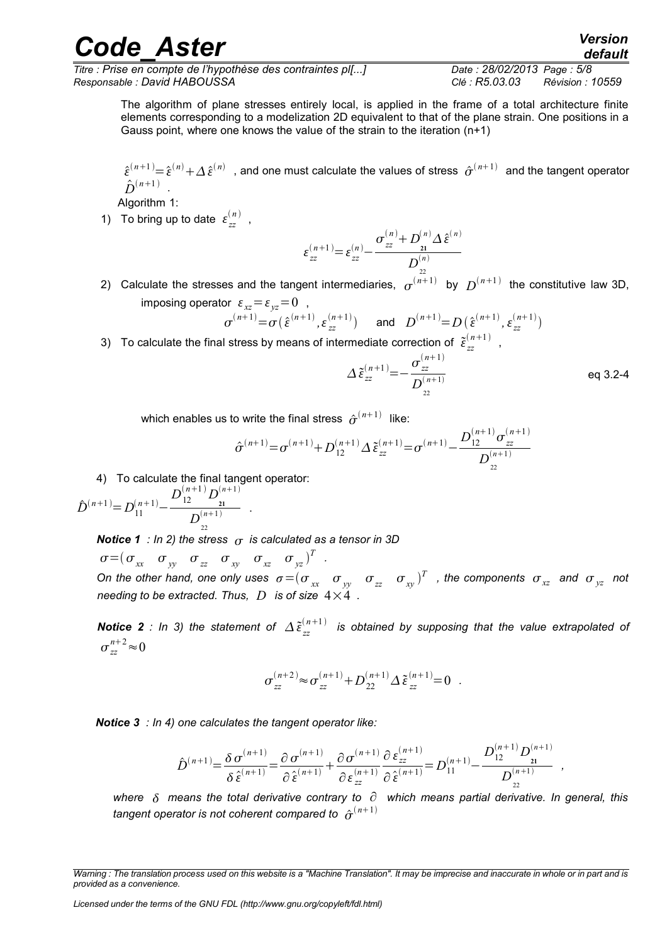*Titre : Prise en compte de l'hypothèse des contraintes pl[...] Date : 28/02/2013 Page : 5/8 Responsable : David HABOUSSA Clé : R5.03.03 Révision : 10559*

*default*

The algorithm of plane stresses entirely local, is applied in the frame of a total architecture finite elements corresponding to a modelization 2D equivalent to that of the plane strain. One positions in a Gauss point, where one knows the value of the strain to the iteration (n+1)

 $\hat{\epsilon}^{(n+1)}{=}\hat{\epsilon}^{(n)}+\Delta\,\hat{\epsilon}^{(n)}\;$  , and one must calculate the values of stress  $\;\hat{\sigma}^{(n+1)}\;$  and the tangent operator  $\hat{D}^{(n+1)}$ .

Algorithm 1:

1) To bring up to date  $\varepsilon_{zz}^{(n)}$ ,

$$
\varepsilon_{zz}^{(n+1)} = \varepsilon_{zz}^{(n)} - \frac{\sigma_{zz}^{(n)} + D_{21}^{(n)} \Delta \hat{\varepsilon}^{(n)}}{D_{22}^{(n)}}
$$

2) Calculate the stresses and the tangent intermediaries,  $\sigma^{(n+1)}$  by  $D^{(n+1)}$  the constitutive law 3D, imposing operator  $\varepsilon_{yz} = \varepsilon_{zx} = 0$ ,

$$
\sigma^{(n+1)} = \sigma(\hat{\epsilon}^{(n+1)}, \epsilon_{zz}^{(n+1)})
$$
 and  $D^{(n+1)} = D(\hat{\epsilon}^{(n+1)}, \epsilon_{zz}^{(n+1)})$ 

3) To calculate the final stress by means of intermediate correction of  $\tilde{\epsilon}_{zz}^{(n)}$  $\binom{n+1}{n}$ 

$$
\Delta \tilde{\varepsilon}_{zz}^{(n+1)} = -\frac{\sigma_{zz}^{(n+1)}}{D_{22}^{(n+1)}}
$$
 eq 3.2-4

which enables us to write the final stress  $\hat{\sigma}^{(n+1)}$  like:

$$
\hat{\sigma}^{(n+1)} = \sigma^{(n+1)} + D_{12}^{(n+1)} \Delta \tilde{\epsilon}_{zz}^{(n+1)} = \sigma^{(n+1)} - \frac{D_{12}^{(n+1)} \sigma_{zz}^{(n+1)}}{D_{22}^{(n+1)}}
$$

4) To calculate the final tangent operator:

 $\hat{D}^{(n+1)} = D_{11}^{(n+1)} D_{12}^{(n+1)}D_{_{21}}^{(n)}$  $(n+1)$  $\frac{21}{D_{22}^{(n+1)}}$ .

*Notice 1 : In 2) the stress*  $\sigma$  *is calculated as a tensor in 3D* 

 $\sigma = (\sigma_{xx} \quad \sigma_{yy} \quad \sigma_{zz} \quad \sigma_{xy} \quad \sigma_{xz} \quad \sigma_{yz})^T$ . *On the other hand, one only uses*  $\sigma$  $=$  $(\sigma_{xx}$  $\sigma_{yy}$  $\sigma_{zz}$  $\sigma_{xy}$  $)^T$  *, the components*  $\sigma_{xz}$  *and*  $\sigma_{yz}$  *not needing to be extracted. Thus,*  $D$  *is of size*  $4 \times 4$ *,* 

*Notice 2 : In 3) the statement of*  $\Delta \tilde{\varepsilon}^{(n)}_{zz}$  $\binom{n+1}{r}$  is obtained by supposing that the value extrapolated of  $\sigma_{zz}^{n+2} \approx 0$ 

$$
\sigma_{zz}^{(n+2)} \!\!\approx\! \sigma_{zz}^{(n+1)} \!+\! D_{22}^{(n+1)}\varDelta\, \tilde{\epsilon}_{zz}^{(n+1)} \!\!=\! 0\ .
$$

*Notice 3 : In 4) one calculates the tangent operator like:*

$$
\hat{D}^{(n+1)} = \frac{\delta \sigma^{(n+1)}}{\delta \hat{\epsilon}^{(n+1)}} = \frac{\partial \sigma^{(n+1)}}{\partial \hat{\epsilon}^{(n+1)}} + \frac{\partial \sigma^{(n+1)}}{\partial \epsilon_{zz}} \frac{\partial \epsilon_{zz}}{\partial \hat{\epsilon}^{(n+1)}} = D_{11}^{(n+1)} - \frac{D_{12}^{(n+1)} D_{21}^{(n+1)}}{D_{22}^{(n+1)}} ,
$$

*where means the total derivative contrary to* ∂ *which means partial derivative. In general, this* tangent operator is not coherent compared to  $\hat{\, \sigma}^{(n+1)}$ 

*Licensed under the terms of the GNU FDL (http://www.gnu.org/copyleft/fdl.html)*

*Warning : The translation process used on this website is a "Machine Translation". It may be imprecise and inaccurate in whole or in part and is provided as a convenience.*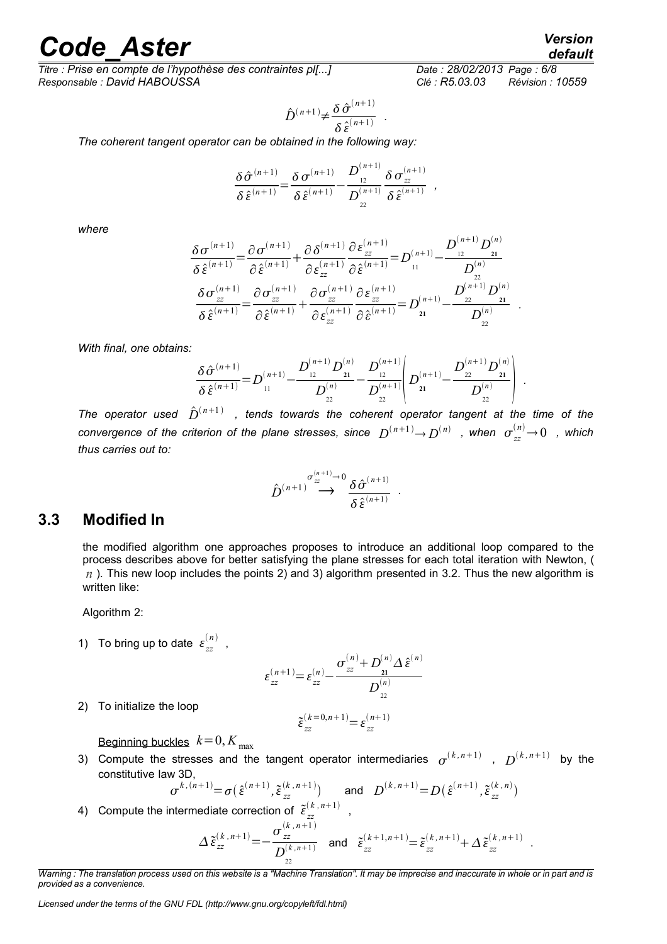*Titre : Prise en compte de l'hypothèse des contraintes pl[...] Date : 28/02/2013 Page : 6/8 Responsable : David HABOUSSA Clé : R5.03.03 Révision : 10559*

$$
\hat{D}^{(n+1)} \neq \frac{\delta \hat{\sigma}^{(n+1)}}{\delta \hat{\varepsilon}^{(n+1)}}.
$$

*The coherent tangent operator can be obtained in the following way:*

$$
\frac{\delta \hat{\sigma}^{(n+1)}}{\delta \hat{\epsilon}^{(n+1)}} = \frac{\delta \sigma^{(n+1)}}{\delta \hat{\epsilon}^{(n+1)}} - \frac{D_{12}^{(n+1)}}{D_{22}^{(n+1)}} \frac{\delta \sigma_{zz}^{(n+1)}}{\delta \hat{\epsilon}^{(n+1)}} ,
$$

*where* 

$$
\frac{\delta \sigma^{(n+1)}}{\delta \hat{\epsilon}^{(n+1)}} = \frac{\partial \sigma^{(n+1)}}{\partial \hat{\epsilon}^{(n+1)}} + \frac{\partial \delta^{(n+1)}}{\partial \epsilon_{zz}} \frac{\partial \epsilon_{zz}^{(n+1)}}{\partial \hat{\epsilon}^{(n+1)}} = D_{11}^{(n+1)} - \frac{D_{12}^{(n+1)} D_{21}^{(n)}}{D_{22}^{(n)}} \n\frac{\delta \sigma_{zz}^{(n+1)}}{\delta \hat{\epsilon}^{(n+1)}} = \frac{\partial \sigma_{zz}^{(n+1)}}{\partial \hat{\epsilon}^{(n+1)}} + \frac{\partial \sigma_{zz}^{(n+1)}}{\partial \epsilon_{zz}^{(n+1)}} \frac{\partial \epsilon_{zz}^{(n+1)}}{\partial \hat{\epsilon}^{(n+1)}} = D_{21}^{(n+1)} - \frac{D_{22}^{(n+1)} D_{21}^{(n)}}{D_{22}^{(n)}}.
$$

*With final, one obtains:*

$$
\frac{\delta \hat{\sigma}^{(n+1)}}{\delta \hat{\epsilon}^{(n+1)}} = D_{11}^{(n+1)} - \frac{D_{12}^{(n+1)} D_{21}^{(n)}}{D_{22}^{(n)}} - \frac{D_{12}^{(n+1)}}{D_{22}^{(n+1)}} \left( D_{21}^{(n+1)} - \frac{D_{22}^{(n+1)} D_{21}^{(n)}}{D_{22}^{(n)}} \right).
$$

The operator used  $\hat{D}^{(n+1)}$  , tends towards the coherent operator tangent at the time of the  $r$  *convergence of the criterion of the plane stresses, since*  $\;D^{(n+1)}$  $\!\!\rightarrow$  $\;$  $\!D^{(n)}\;$  *, when*  $\;$  $\sigma^{(n)}_{zz}$  $\!\!\rightarrow$  $\!0\;$  *, which thus carries out to:*

$$
\hat{D}^{(n+1)} \stackrel{\sigma_{zz}^{(n+1)} \to 0}{\longrightarrow} \frac{\delta \hat{\sigma}^{(n+1)}}{\delta \hat{\epsilon}^{(n+1)}}.
$$

#### **3.3 Modified In**

the modified algorithm one approaches proposes to introduce an additional loop compared to the process describes above for better satisfying the plane stresses for each total iteration with Newton, ( *n* ). This new loop includes the points 2) and 3) algorithm presented in 3.2. Thus the new algorithm is written like:

Algorithm 2:

1) To bring up to date  $\varepsilon_{zz}^{(n)}$ ,

$$
\varepsilon_{zz}^{(n+1)} = \varepsilon_{zz}^{(n)} - \frac{\sigma_{zz}^{(n)} + D_{21}^{(n)} \Delta \hat{\varepsilon}^{(n)}}{D_{22}^{(n)}}
$$

2) To initialize the loop

$$
\tilde{\varepsilon}_{zz}^{(k=0,n+1)} = \varepsilon_{zz}^{(n+1)}
$$

Beginning buckles  $k=0, K_{\text{max}}$ 

3) Compute the stresses and the tangent operator intermediaries  $\sigma^{(k,n+1)}$  ,  $D^{(k,n+1)}$  by the constitutive law 3D,

$$
\sigma^{k,(n+1)} = \sigma(\hat{\epsilon}^{(n+1)}, \tilde{\epsilon}_{zz}^{(k,n+1)})
$$
 and  $D^{(k,n+1)} = D(\hat{\epsilon}^{(n+1)}, \tilde{\epsilon}_{zz}^{(k,n)})$ 

4) Compute the intermediate correction of  $\tilde{\epsilon}_{zz}^{(k)}$  $(k, n+1)$ ,

$$
\Delta \tilde{\varepsilon}_{zz}^{(k,n+1)} = -\frac{\sigma_{zz}^{(k,n+1)}}{D_{22}^{(k,n+1)}} \quad \text{and} \quad \tilde{\varepsilon}_{zz}^{(k+1,n+1)} = \tilde{\varepsilon}_{zz}^{(k,n+1)} + \Delta \tilde{\varepsilon}_{zz}^{(k,n+1)} \quad .
$$

*Warning : The translation process used on this website is a "Machine Translation". It may be imprecise and inaccurate in whole or in part and is provided as a convenience.*

*default*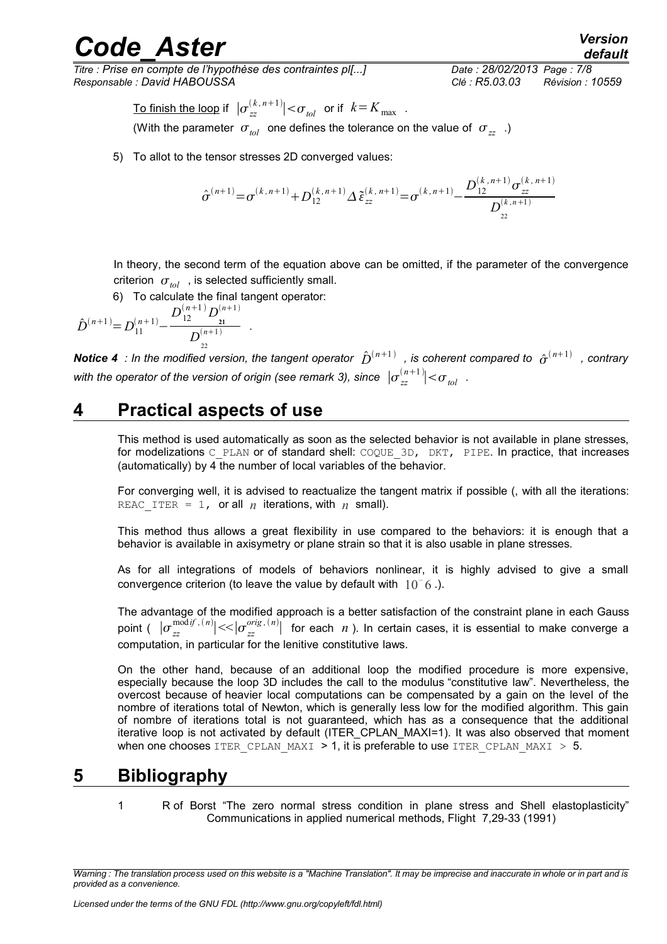*Titre : Prise en compte de l'hypothèse des contraintes pl[...] Date : 28/02/2013 Page : 7/8 Responsable : David HABOUSSA Clé : R5.03.03 Révision : 10559*

*default*

 $\frac{1}{\pi}\int_{0}^{\pi}\frac{1}{\sinh\theta} \frac{1}{\sinh\theta} \frac{1}{\sinh\theta} \left| \frac{1}{\cos\theta} e^{i\theta} \frac{1}{\sinh\theta} \right| < \sigma_{tol}$  or if  $k = K_{\max}$  . (With the parameter  $\sigma_{tol}$  one defines the tolerance on the value of  $\sigma_{zz}$ )

5) To allot to the tensor stresses 2D converged values:

$$
\hat{\sigma}^{(n+1)} = \sigma^{(k,n+1)} + D_{12}^{(k,n+1)} \Delta \tilde{\varepsilon}_{zz}^{(k,n+1)} = \sigma^{(k,n+1)} - \frac{D_{12}^{(k,n+1)} \sigma_{zz}^{(k,n+1)}}{D_{22}^{(k,n+1)}}
$$

In theory, the second term of the equation above can be omitted, if the parameter of the convergence criterion  $\sigma_{tol}$ , is selected sufficiently small.

6) To calculate the final tangent operator:

$$
\hat{D}^{(n+1)} = D_{11}^{(n+1)} - \frac{D_{12}^{(n+1)} D_{21}^{(n+1)}}{D_{22}^{(n+1)}}.
$$

**Notice 4** : In the modified version, the tangent operator  $\hat{D}^{(n+1)}$  , is coherent compared to  $\hat{\sigma}^{(n+1)}$  , contrary with the operator of the version of origin (see remark 3), since  $\;|\sigma{}^{(n+1)}_{zz}| \! < \! \sigma_{_{tol}}\;$  .

### **4 Practical aspects of use**

This method is used automatically as soon as the selected behavior is not available in plane stresses, for modelizations C\_PLAN or of standard shell: COQUE\_3D, DKT, PIPE. In practice, that increases (automatically) by 4 the number of local variables of the behavior.

For converging well, it is advised to reactualize the tangent matrix if possible (, with all the iterations: REAC ITER = 1, or all *n* iterations, with *n* small).

This method thus allows a great flexibility in use compared to the behaviors: it is enough that a behavior is available in axisymetry or plane strain so that it is also usable in plane stresses.

As for all integrations of models of behaviors nonlinear, it is highly advised to give a small convergence criterion (to leave the value by default with 10*–* 6 .).

The advantage of the modified approach is a better satisfaction of the constraint plane in each Gauss point (  $|\sigma^{modif,~(n)}_{zz}|<\!\!|\sigma^{orig,~(n)}_{zz}|$  for each  $~n$  ). In certain cases, it is essential to make converge a computation, in particular for the lenitive constitutive laws.

On the other hand, because of an additional loop the modified procedure is more expensive, especially because the loop 3D includes the call to the modulus "constitutive law". Nevertheless, the overcost because of heavier local computations can be compensated by a gain on the level of the nombre of iterations total of Newton, which is generally less low for the modified algorithm. This gain of nombre of iterations total is not guaranteed, which has as a consequence that the additional iterative loop is not activated by default (ITER\_CPLAN\_MAXI=1). It was also observed that moment when one chooses ITER CPLAN MAXI  $> 1$ , it is preferable to use ITER CPLAN MAXI  $> 5$ .

### **5 Bibliography**

1 R of Borst "The zero normal stress condition in plane stress and Shell elastoplasticity" Communications in applied numerical methods, Flight 7,29-33 (1991)

*Warning : The translation process used on this website is a "Machine Translation". It may be imprecise and inaccurate in whole or in part and is provided as a convenience.*